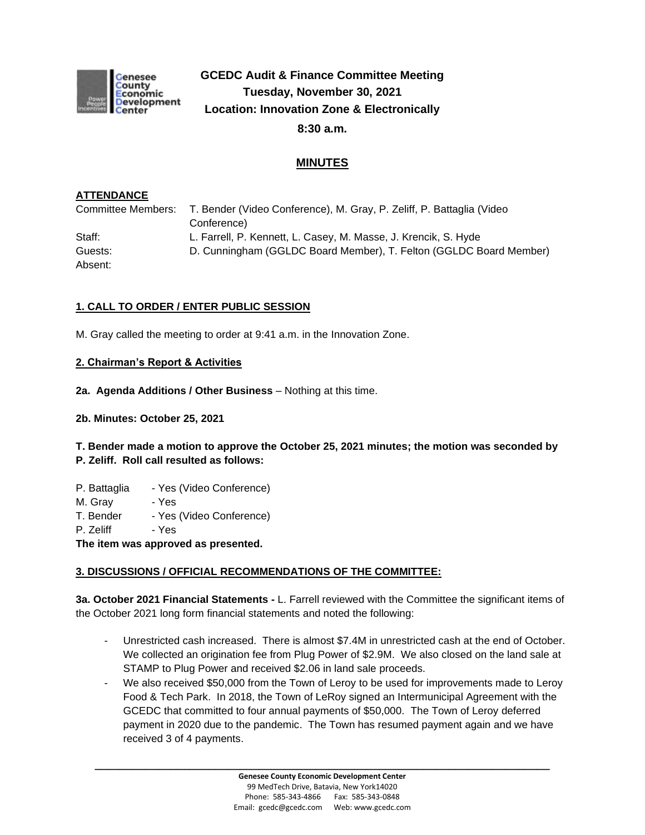

# **GCEDC Audit & Finance Committee Meeting Tuesday, November 30, 2021 Location: Innovation Zone & Electronically 8:30 a.m.**

## **MINUTES**

### **ATTENDANCE**

Committee Members: T. Bender (Video Conference), M. Gray, P. Zeliff, P. Battaglia (Video Conference) Staff: L. Farrell, P. Kennett, L. Casey, M. Masse, J. Krencik, S. Hyde Guests: D. Cunningham (GGLDC Board Member), T. Felton (GGLDC Board Member) Absent:

## **1. CALL TO ORDER / ENTER PUBLIC SESSION**

M. Gray called the meeting to order at 9:41 a.m. in the Innovation Zone.

#### **2. Chairman's Report & Activities**

- **2a. Agenda Additions / Other Business** Nothing at this time.
- **2b. Minutes: October 25, 2021**

## **T. Bender made a motion to approve the October 25, 2021 minutes; the motion was seconded by P. Zeliff. Roll call resulted as follows:**

- P. Battaglia Yes (Video Conference)
- M. Gray Yes
- T. Bender Yes (Video Conference)
- P. Zeliff Yes

**The item was approved as presented.**

#### **3. DISCUSSIONS / OFFICIAL RECOMMENDATIONS OF THE COMMITTEE:**

**3a. October 2021 Financial Statements -** L. Farrell reviewed with the Committee the significant items of the October 2021 long form financial statements and noted the following:

- Unrestricted cash increased. There is almost \$7.4M in unrestricted cash at the end of October. We collected an origination fee from Plug Power of \$2.9M. We also closed on the land sale at STAMP to Plug Power and received \$2.06 in land sale proceeds.
- We also received \$50,000 from the Town of Leroy to be used for improvements made to Leroy Food & Tech Park. In 2018, the Town of LeRoy signed an Intermunicipal Agreement with the GCEDC that committed to four annual payments of \$50,000. The Town of Leroy deferred payment in 2020 due to the pandemic. The Town has resumed payment again and we have received 3 of 4 payments.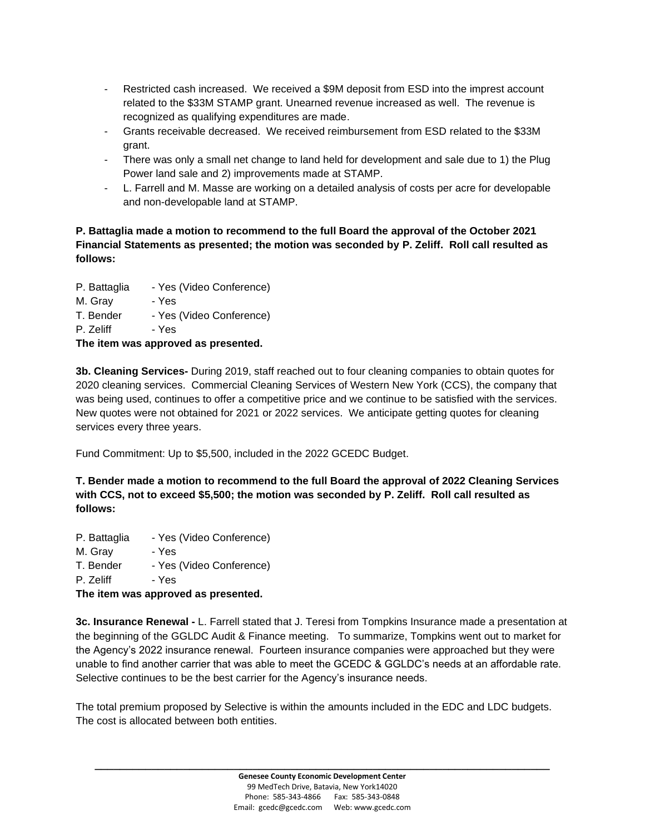- Restricted cash increased. We received a \$9M deposit from ESD into the imprest account related to the \$33M STAMP grant. Unearned revenue increased as well. The revenue is recognized as qualifying expenditures are made.
- Grants receivable decreased. We received reimbursement from ESD related to the \$33M grant.
- There was only a small net change to land held for development and sale due to 1) the Plug Power land sale and 2) improvements made at STAMP.
- L. Farrell and M. Masse are working on a detailed analysis of costs per acre for developable and non-developable land at STAMP.

## **P. Battaglia made a motion to recommend to the full Board the approval of the October 2021 Financial Statements as presented; the motion was seconded by P. Zeliff. Roll call resulted as follows:**

- P. Battaglia Yes (Video Conference)
- M. Gray Yes
- T. Bender Yes (Video Conference)
- P. Zeliff Yes

## **The item was approved as presented.**

**3b. Cleaning Services-** During 2019, staff reached out to four cleaning companies to obtain quotes for 2020 cleaning services. Commercial Cleaning Services of Western New York (CCS), the company that was being used, continues to offer a competitive price and we continue to be satisfied with the services. New quotes were not obtained for 2021 or 2022 services. We anticipate getting quotes for cleaning services every three years.

Fund Commitment: Up to \$5,500, included in the 2022 GCEDC Budget.

**T. Bender made a motion to recommend to the full Board the approval of 2022 Cleaning Services with CCS, not to exceed \$5,500; the motion was seconded by P. Zeliff. Roll call resulted as follows:**

- P. Battaglia Yes (Video Conference)
- M. Gray Yes
- T. Bender Yes (Video Conference)
- P. Zeliff Yes

**The item was approved as presented.**

**3c. Insurance Renewal -** L. Farrell stated that J. Teresi from Tompkins Insurance made a presentation at the beginning of the GGLDC Audit & Finance meeting. To summarize, Tompkins went out to market for the Agency's 2022 insurance renewal. Fourteen insurance companies were approached but they were unable to find another carrier that was able to meet the GCEDC & GGLDC's needs at an affordable rate. Selective continues to be the best carrier for the Agency's insurance needs.

The total premium proposed by Selective is within the amounts included in the EDC and LDC budgets. The cost is allocated between both entities.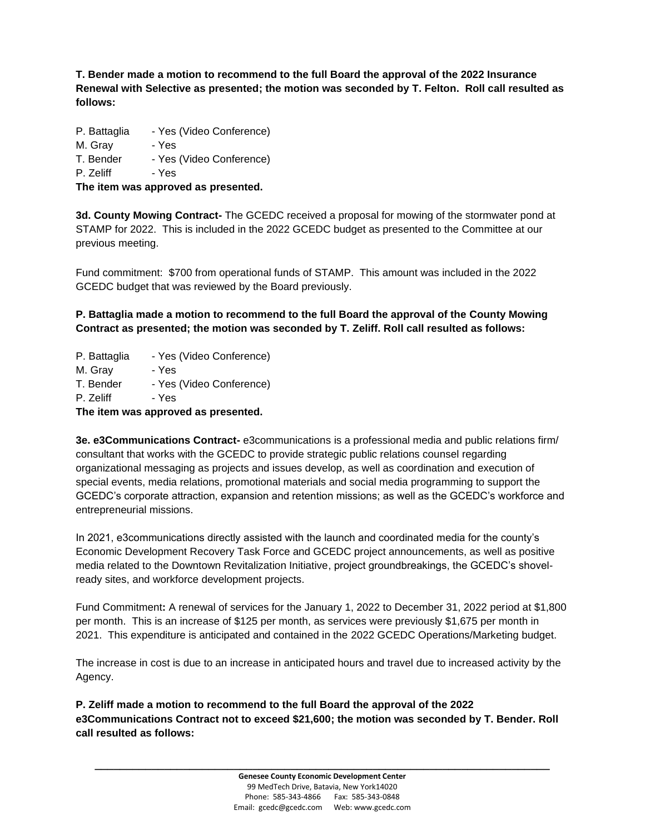**T. Bender made a motion to recommend to the full Board the approval of the 2022 Insurance Renewal with Selective as presented; the motion was seconded by T. Felton. Roll call resulted as follows:** 

- P. Battaglia Yes (Video Conference)
- M. Gray Yes
- T. Bender Yes (Video Conference)

P. Zeliff - Yes

**The item was approved as presented.**

**3d. County Mowing Contract-** The GCEDC received a proposal for mowing of the stormwater pond at STAMP for 2022. This is included in the 2022 GCEDC budget as presented to the Committee at our previous meeting.

Fund commitment:\$700 from operational funds of STAMP. This amount was included in the 2022 GCEDC budget that was reviewed by the Board previously.

**P. Battaglia made a motion to recommend to the full Board the approval of the County Mowing Contract as presented; the motion was seconded by T. Zeliff. Roll call resulted as follows:**

- P. Battaglia Yes (Video Conference)
- M. Gray Yes
- T. Bender Yes (Video Conference)
- P. Zeliff Yes

**The item was approved as presented.**

**3e. e3Communications Contract-** e3communications is a professional media and public relations firm/ consultant that works with the GCEDC to provide strategic public relations counsel regarding organizational messaging as projects and issues develop, as well as coordination and execution of special events, media relations, promotional materials and social media programming to support the GCEDC's corporate attraction, expansion and retention missions; as well as the GCEDC's workforce and entrepreneurial missions.

In 2021, e3communications directly assisted with the launch and coordinated media for the county's Economic Development Recovery Task Force and GCEDC project announcements, as well as positive media related to the Downtown Revitalization Initiative, project groundbreakings, the GCEDC's shovelready sites, and workforce development projects.

Fund Commitment**:** A renewal of services for the January 1, 2022 to December 31, 2022 period at \$1,800 per month. This is an increase of \$125 per month, as services were previously \$1,675 per month in 2021. This expenditure is anticipated and contained in the 2022 GCEDC Operations/Marketing budget.

The increase in cost is due to an increase in anticipated hours and travel due to increased activity by the Agency.

**P. Zeliff made a motion to recommend to the full Board the approval of the 2022 e3Communications Contract not to exceed \$21,600; the motion was seconded by T. Bender. Roll call resulted as follows:**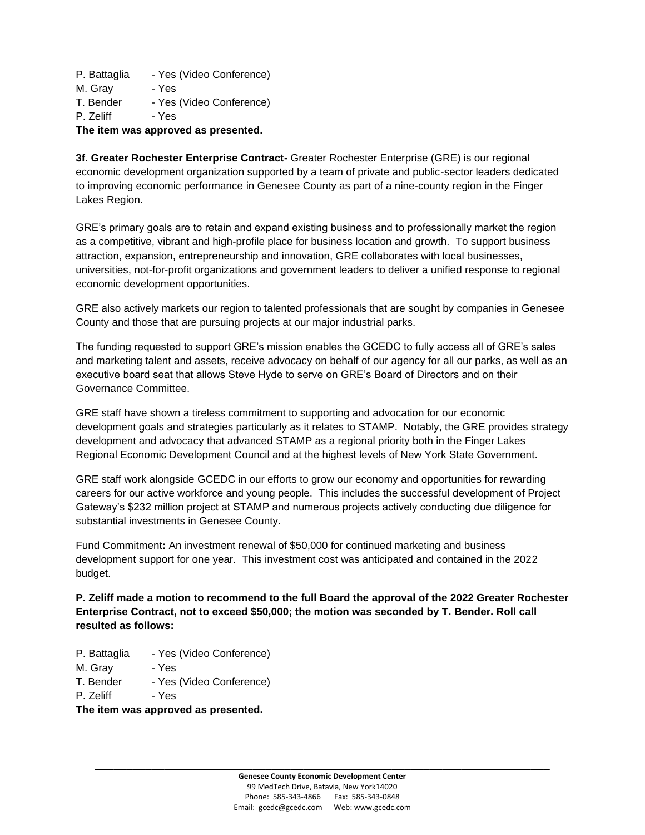P. Battaglia - Yes (Video Conference)

- M. Gray Yes
- T. Bender Yes (Video Conference)
- P. Zeliff Yes

## **The item was approved as presented.**

**3f. Greater Rochester Enterprise Contract-** Greater Rochester Enterprise (GRE) is our regional economic development organization supported by a team of private and public-sector leaders dedicated to improving economic performance in Genesee County as part of a nine-county region in the Finger Lakes Region.

GRE's primary goals are to retain and expand existing business and to professionally market the region as a competitive, vibrant and high-profile place for business location and growth. To support business attraction, expansion, entrepreneurship and innovation, GRE collaborates with local businesses, universities, not-for-profit organizations and government leaders to deliver a unified response to regional economic development opportunities.

GRE also actively markets our region to talented professionals that are sought by companies in Genesee County and those that are pursuing projects at our major industrial parks.

The funding requested to support GRE's mission enables the GCEDC to fully access all of GRE's sales and marketing talent and assets, receive advocacy on behalf of our agency for all our parks, as well as an executive board seat that allows Steve Hyde to serve on GRE's Board of Directors and on their Governance Committee.

GRE staff have shown a tireless commitment to supporting and advocation for our economic development goals and strategies particularly as it relates to STAMP. Notably, the GRE provides strategy development and advocacy that advanced STAMP as a regional priority both in the Finger Lakes Regional Economic Development Council and at the highest levels of New York State Government.

GRE staff work alongside GCEDC in our efforts to grow our economy and opportunities for rewarding careers for our active workforce and young people. This includes the successful development of Project Gateway's \$232 million project at STAMP and numerous projects actively conducting due diligence for substantial investments in Genesee County.

Fund Commitment**:** An investment renewal of \$50,000 for continued marketing and business development support for one year. This investment cost was anticipated and contained in the 2022 budget.

**P. Zeliff made a motion to recommend to the full Board the approval of the 2022 Greater Rochester Enterprise Contract, not to exceed \$50,000; the motion was seconded by T. Bender. Roll call resulted as follows:**

- P. Battaglia Yes (Video Conference)
- M. Gray Yes
- T. Bender Yes (Video Conference)
- P. Zeliff Yes

**The item was approved as presented.**